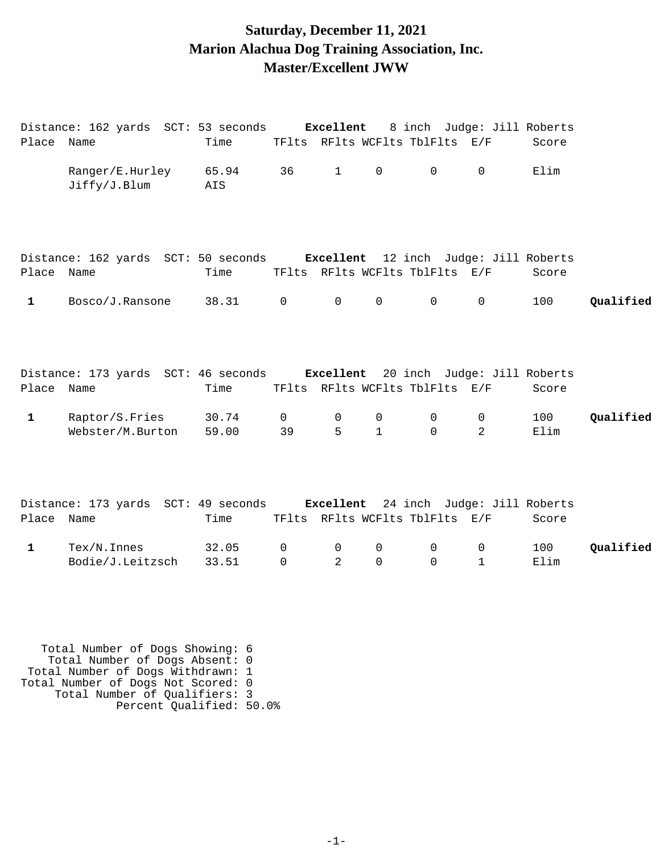#### **Saturday, December 11, 2021 Marion Alachua Dog Training Association, Inc. Master/Excellent JWW**

|              | Distance: 162 yards SCT: 53 seconds                                       |                |                      | Excellent           |                   | 8 inch Judge: Jill Roberts     |                  |             |           |
|--------------|---------------------------------------------------------------------------|----------------|----------------------|---------------------|-------------------|--------------------------------|------------------|-------------|-----------|
| Place Name   |                                                                           | Time           |                      |                     |                   | TFlts RFlts WCFlts TblFlts E/F |                  | Score       |           |
|              | Ranger/E.Hurley<br>Jiffy/J.Blum                                           | 65.94<br>AIS   | 36                   | 1                   | $\mathsf{O}$      | $\overline{0}$                 | $\mathsf{O}$     | Elim        |           |
| Place Name   | Distance: 162 yards SCT: 50 seconds Excellent 12 inch Judge: Jill Roberts | Time           |                      |                     |                   | TFlts RFlts WCFlts TblFlts E/F |                  | Score       |           |
| $\mathbf{1}$ | Bosco/J.Ransone                                                           | 38.31 0        |                      | $\mathbf 0$         | $\mathsf{O}$      | 0                              | $\mathsf{O}$     | 100         | Qualified |
| Place Name   | Distance: 173 yards SCT: 46 seconds Excellent 20 inch Judge: Jill Roberts | Time           |                      |                     |                   | TFlts RFlts WCFlts TblFlts E/F |                  | Score       |           |
| $\mathbf{1}$ | Raptor/S.Fries<br>Webster/M.Burton                                        | 30.74<br>59.00 | $\overline{0}$<br>39 | 0<br>5              | 0<br>$\mathbf{1}$ | 0<br>$\Omega$                  | 0<br>2           | 100<br>Elim | Qualified |
| Place Name   | Distance: 173 yards SCT: 49 seconds Excellent 24 inch Judge: Jill Roberts | Time           |                      |                     |                   | TFlts RFlts WCFlts TblFlts E/F |                  | Score       |           |
| $\mathbf{1}$ | $Text/N.$ Innes<br>Bodie/J.Leitzsch                                       | 32.05<br>33.51 | 0<br>$\Omega$        | 0<br>$\overline{2}$ | 0<br>$\mathbf 0$  | 0<br>0                         | 0<br>$\mathbf 1$ | 100<br>Elim | Qualified |

 Total Number of Dogs Showing: 6 Total Number of Dogs Absent: 0 Total Number of Dogs Withdrawn: 1 Total Number of Dogs Not Scored: 0 Total Number of Qualifiers: 3 Percent Qualified: 50.0%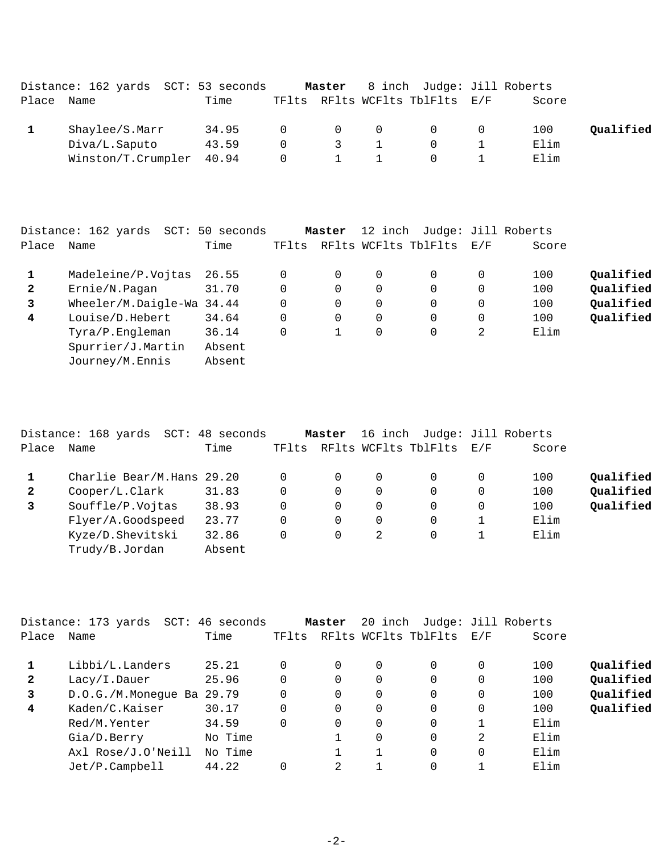|            | Distance: 162 yards SCT: 53 seconds |       |                                                      |                |                                                      | Master 8 inch Judge: Jill Roberts |                |       |           |
|------------|-------------------------------------|-------|------------------------------------------------------|----------------|------------------------------------------------------|-----------------------------------|----------------|-------|-----------|
| Place Name |                                     | Time  |                                                      |                |                                                      | TFlts RFlts WCFlts TblFlts E/F    |                | Score |           |
|            | Shaylee/S.Marr                      | 34.95 |                                                      |                | $\begin{array}{ccccccc}\n0 & & 0 & & 0\n\end{array}$ | $\overline{0}$                    | $\overline{0}$ | 100   | Qualified |
|            | Diva/L.Saputo                       | 43.59 | $\Omega$                                             | $\overline{3}$ | 1                                                    | $\Omega$                          |                | Elim  |           |
|            | Winston/T.Crumpler 40.94            |       | $\begin{array}{ccccccc}\n0 & & 1 & & 1\n\end{array}$ |                |                                                      | $\Omega$                          |                | Elim  |           |

|              | Distance: 162 yards<br>SCT: | 50 seconds |       | Master   | 12 inch     |                      |     | Judge: Jill Roberts |           |
|--------------|-----------------------------|------------|-------|----------|-------------|----------------------|-----|---------------------|-----------|
| Place        | Name                        | Time       | TFlts |          |             | RFlts WCFlts TblFlts | E/F | Score               |           |
| 1            | Madeleine/P.Vojtas          | 26.55      |       | $\Omega$ | 0           | 0                    | 0   | 100                 | Qualified |
| $\mathbf{2}$ | Ernie/N.Pagan               | 31.70      | 0     | $\Omega$ | 0           | 0                    | 0   | 100                 | Qualified |
| 3            | Wheeler/M.Daigle-Wa 34.44   |            | 0     | $\Omega$ | $\mathbf 0$ | $\Omega$             | 0   | 100                 | Qualified |
| 4            | Louise/D.Hebert             | 34.64      | 0     | 0        | 0           | $\Omega$             | 0   | 100                 | Qualified |
|              | Tyra/P.Engleman             | 36.14      |       |          | 0           | $\Omega$             | 2   | Elim                |           |
|              | Spurrier/J.Martin           | Absent     |       |          |             |                      |     |                     |           |
|              | Journey/M.Ennis             | Absent     |       |          |             |                      |     |                     |           |
|              |                             |            |       |          |             |                      |     |                     |           |

|              | Distance: 168 yards       | SCT: 48 seconds |          | Master   |   | 16 inch Judge: Jill Roberts |   |       |           |
|--------------|---------------------------|-----------------|----------|----------|---|-----------------------------|---|-------|-----------|
| Place        | Name                      | Time            | TFlts    |          |   | RFlts WCFlts TblFlts E/F    |   | Score |           |
|              | Charlie Bear/M.Hans 29.20 |                 | $\Omega$ | $\Omega$ | 0 | 0                           | 0 | 100   | Qualified |
| $\mathbf{2}$ | Cooper/L.Clark            | 31.83           | $\Omega$ | $\Omega$ | 0 | 0                           | 0 | 100   | Qualified |
| 3            | Souffle/P.Vojtas          | 38.93           | $\Omega$ | $\Omega$ | 0 | 0                           | 0 | 100   | Qualified |
|              | Flyer/A.Goodspeed         | 23.77           | $\Omega$ | $\Omega$ | 0 | 0                           |   | Elim  |           |
|              | Kyze/D.Shevitski          | 32.86           | 0        | $\Omega$ | 2 | $\Omega$                    |   | Elim  |           |
|              | Trudy/B.Jordan            | Absent          |          |          |   |                             |   |       |           |
|              |                           |                 |          |          |   |                             |   |       |           |

|              | Distance: 173 yards<br>SCT: | 46 seconds |       | Master   | 20 inch  |                      |             | Judge: Jill Roberts |           |
|--------------|-----------------------------|------------|-------|----------|----------|----------------------|-------------|---------------------|-----------|
| Place        | Name                        | Time       | TFlts |          |          | RFlts WCFlts TblFlts | $\rm E$ / F | Score               |           |
|              | Libbi/L.Landers             | 25.21      |       | $\Omega$ | $\Omega$ | 0                    | 0           | 100                 | Qualified |
| $\mathbf{2}$ | Lacy/I.Dauer                | 25.96      |       | 0        | 0        | $\Omega$             | 0           | 100                 | Qualified |
| 3            | D.O.G./M.Monegue Ba 29.79   |            |       | $\Omega$ | 0        | $\Omega$             | 0           | 100                 | Qualified |
| 4            | Kaden/C.Kaiser              | 30.17      |       | 0        | 0        | 0                    | 0           | 100                 | Qualified |
|              | Red/M.Yenter                | 34.59      |       | $\Omega$ | 0        | $\Omega$             |             | Elim                |           |
|              | Gia/D.Berry                 | No Time    |       |          | 0        | 0                    | 2           | Elim                |           |
|              | Axl Rose/J.O'Neill          | No Time    |       |          |          | $\Omega$             | 0           | Elim                |           |
|              | Jet/P.Campbell              | 44.22      |       | 2        |          | 0                    |             | Elim                |           |
|              |                             |            |       |          |          |                      |             |                     |           |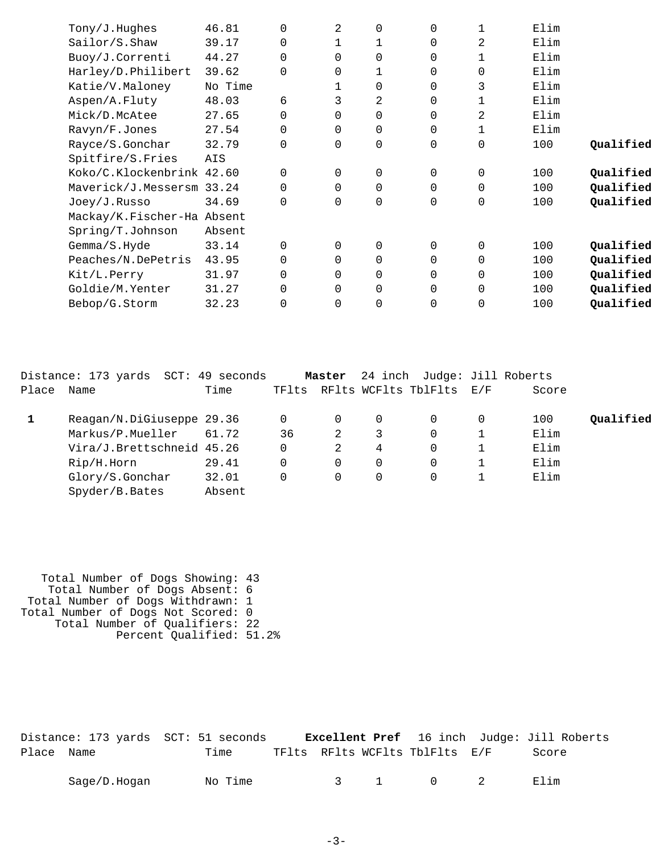| Tony/J.Hughes              | 46.81   | $\Omega$    | 2        | 0        | $\Omega$       |                | Elim |           |
|----------------------------|---------|-------------|----------|----------|----------------|----------------|------|-----------|
| Sailor/S.Shaw              | 39.17   | $\Omega$    |          |          | 0              | 2              | Elim |           |
| Buoy/J.Correnti            | 44.27   | $\mathbf 0$ | 0        | 0        | 0              |                | Elim |           |
| Harley/D.Philibert         | 39.62   | $\Omega$    | 0        |          | 0              | 0              | Elim |           |
| Katie/V.Maloney            | No Time |             |          | $\Omega$ | 0              | 3              | Elim |           |
| Aspen/A.Fluty              | 48.03   | 6           | 3        | 2        | 0              | 1              | Elim |           |
| Mick/D.McAtee              | 27.65   | $\mathbf 0$ | 0        | $\Omega$ | 0              | $\overline{2}$ | Elim |           |
| Ravyn/F.Jones              | 27.54   | $\mathbf 0$ | $\Omega$ | $\Omega$ | 0              |                | Elim |           |
| Rayce/S.Gonchar            | 32.79   | $\mathbf 0$ | 0        | 0        | 0              | 0              | 100  | Qualified |
| Spitfire/S.Fries           | AIS     |             |          |          |                |                |      |           |
| Koko/C.Klockenbrink 42.60  |         | $\Omega$    | 0        | 0        | 0              | 0              | 100  | Qualified |
| Maverick/J.Messersm 33.24  |         | $\Omega$    | $\Omega$ | $\Omega$ | $\Omega$       | 0              | 100  | Qualified |
| Joey/J.Russo               | 34.69   | $\Omega$    | $\Omega$ | $\Omega$ | $\Omega$       | 0              | 100  | Qualified |
| Mackay/K.Fischer-Ha Absent |         |             |          |          |                |                |      |           |
| Spring/T.Johnson           | Absent  |             |          |          |                |                |      |           |
| Gemma/S.Hyde               | 33.14   | $\Omega$    | $\Omega$ | 0        | $\Omega$       | 0              | 100  | Qualified |
| Peaches/N.DePetris         | 43.95   | $\mathbf 0$ | 0        | 0        | 0              | 0              | 100  | Qualified |
| Kit/L.Perry                | 31.97   | $\mathbf 0$ | 0        | $\Omega$ | 0              | 0              | 100  | Qualified |
| Goldie/M.Yenter            | 31.27   | $\Omega$    | $\Omega$ | $\Omega$ | $\Omega$       | 0              | 100  | Qualified |
| Bebop/G.Storm              | 32.23   | 0           | 0        | 0        | $\overline{0}$ | 0              | 100  | Qualified |
|                            |         |             |          |          |                |                |      |           |

|       | Distance: 173 yards  SCT: 49 seconds |        |       | Master   |   | 24 inch Judge: Jill Roberts |   |       |           |
|-------|--------------------------------------|--------|-------|----------|---|-----------------------------|---|-------|-----------|
| Place | Name                                 | Time   | TFlts |          |   | RFlts WCFlts TblFlts E/F    |   | Score |           |
|       | Reagan/N.DiGiuseppe 29.36            |        |       | 0        | 0 |                             | 0 | 100   | Oualified |
|       | Markus/P.Mueller                     | 61.72  | 36    | 2        | 3 | 0                           |   | Elim  |           |
|       | Vira/J.Brettschneid 45.26            |        |       | 2        | 4 | 0                           |   | Elim  |           |
|       | Rip/H.Horn                           | 29.41  |       | $\Omega$ | 0 |                             |   | Elim  |           |
|       | Glory/S.Gonchar                      | 32.01  |       | $\Omega$ | 0 |                             |   | Elim  |           |
|       | Spyder/B.Bates                       | Absent |       |          |   |                             |   |       |           |

 Total Number of Dogs Showing: 43 Total Number of Dogs Absent: 6 Total Number of Dogs Withdrawn: 1 Total Number of Dogs Not Scored: 0 Total Number of Qualifiers: 22 Percent Qualified: 51.2%

|            |              | Distance: 173 yards SCT: 51 seconds |  |                                | <b>Excellent Pref</b> 16 inch Judge: Jill Roberts |  |
|------------|--------------|-------------------------------------|--|--------------------------------|---------------------------------------------------|--|
| Place Name |              | Time                                |  | TFlts RFlts WCFlts TblFlts E/F | Score                                             |  |
|            | Saqe/D.Hoqan | No Time                             |  | 3 1 0 2                        | Elim                                              |  |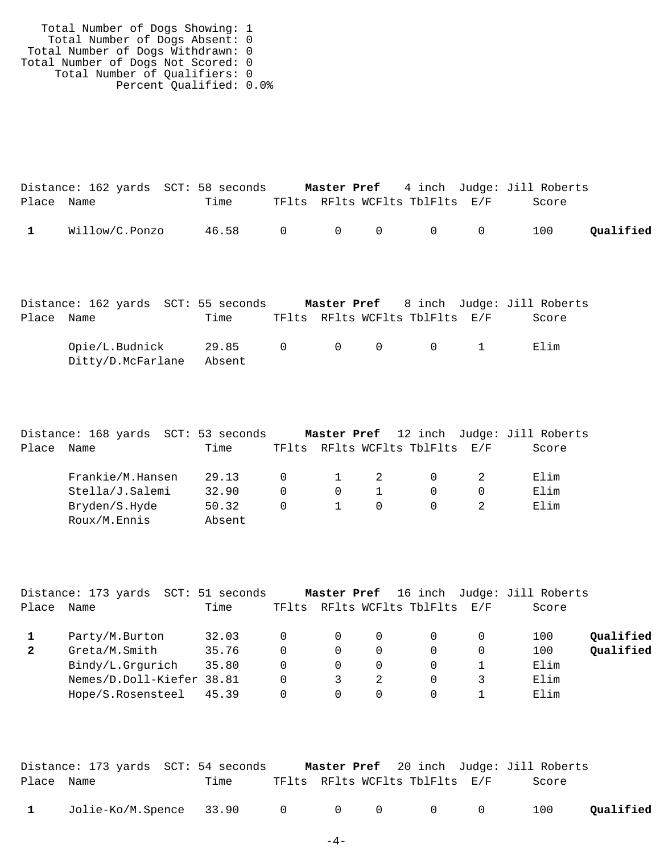| Total Number of Dogs Showing: 1    |  |
|------------------------------------|--|
| Total Number of Dogs Absent: 0     |  |
| Total Number of Dogs Withdrawn: 0  |  |
| Total Number of Dogs Not Scored: 0 |  |
| Total Number of Qualifiers: 0      |  |
| Percent Qualified: 0.0%            |  |

|            |                  | Distance: 162 yards SCT: 58 seconds |  |                                | <b>Master Pref</b> 4 inch Judge: Jill Roberts |           |
|------------|------------------|-------------------------------------|--|--------------------------------|-----------------------------------------------|-----------|
| Place Name |                  | Time                                |  | TFlts RFlts WCFlts TblFlts E/F | Score                                         |           |
|            | 1 Willow/C.Ponzo | 46.58 0 0 0 0 0                     |  |                                | 100                                           | Qualified |

|            | Distance: 162 yards SCT: 55 seconds |        |  |                                         | <b>Master Pref</b> 8 inch Judge: Jill Roberts |
|------------|-------------------------------------|--------|--|-----------------------------------------|-----------------------------------------------|
| Place Name |                                     | Time   |  | TFlts RFlts WCFlts TblFlts E/F          | Score                                         |
|            | Opie/L.Budnick 29.85                |        |  | $0 \qquad 0 \qquad 0 \qquad 0 \qquad 1$ | Elim                                          |
|            | Ditty/D.McFarlane                   | Absent |  |                                         |                                               |

|       | Distance: 168 yards SCT: 53 seconds |        |          |              |                            |                                | Master Pref 12 inch Judge: Jill Roberts |
|-------|-------------------------------------|--------|----------|--------------|----------------------------|--------------------------------|-----------------------------------------|
| Place | Name                                | Time   |          |              |                            | TFlts RFlts WCFlts TblFlts E/F | Score                                   |
|       | Frankie/M.Hansen                    | 29.13  | $\Omega$ | $\sim$ 1     | $\overline{\phantom{a}}$ 2 |                                | Elim                                    |
|       | Stella/J.Salemi                     | 32.90  | $\Omega$ | $\Omega$     |                            |                                | Elim                                    |
|       | Bryden/S.Hyde                       | 50.32  | $\Omega$ | $\mathbf{1}$ | $\Omega$                   |                                | Elim                                    |
|       | Roux/M.Ennis                        | Absent |          |              |                            |                                |                                         |

|              | Distance: 173 yards  SCT: 51 seconds |       |          |          |                          | Master Pref 16 inch Judge: Jill Roberts |           |
|--------------|--------------------------------------|-------|----------|----------|--------------------------|-----------------------------------------|-----------|
| Place        | Name                                 | Time  | TFlts    |          | RFlts WCFlts TblFlts E/F | Score                                   |           |
|              | Party/M.Burton                       | 32.03 |          | $\Omega$ |                          | 100                                     | Qualified |
| $\mathbf{2}$ | Greta/M.Smith                        | 35.76 | $\Omega$ | $\Omega$ |                          | 100                                     | Qualified |
|              | Bindy/L.Grqurich                     | 35.80 | $\Omega$ | $\Omega$ |                          | Elim                                    |           |
|              | Nemes/D.Doll-Kiefer 38.81            |       | 0        |          |                          | Elim                                    |           |
|              | Hope/S.Rosensteel                    | 45.39 | $\Omega$ |          |                          | Elim                                    |           |
|              |                                      |       |          |          |                          |                                         |           |

|            | Distance: 173 yards  SCT: 54 seconds |      |  |                                | <b>Master Pref</b> 20 inch Judge: Jill Roberts |           |
|------------|--------------------------------------|------|--|--------------------------------|------------------------------------------------|-----------|
| Place Name |                                      | Time |  | TFlts RFlts WCFlts TblFlts E/F | Score                                          |           |
|            | 1 Jolie-Ko/M.Spence 33.90 0 0 0 0 0  |      |  |                                | 100                                            | Qualified |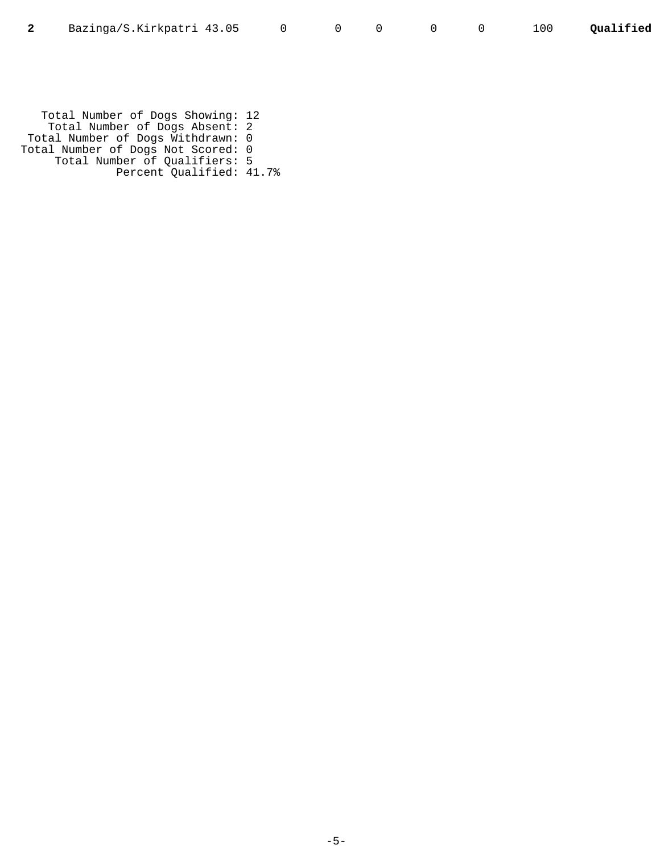Total Number of Dogs Showing: 12 Total Number of Dogs Absent: 2 Total Number of Dogs Withdrawn: 0 Total Number of Dogs Not Scored: 0 Total Number of Qualifiers: 5 Percent Qualified: 41.7%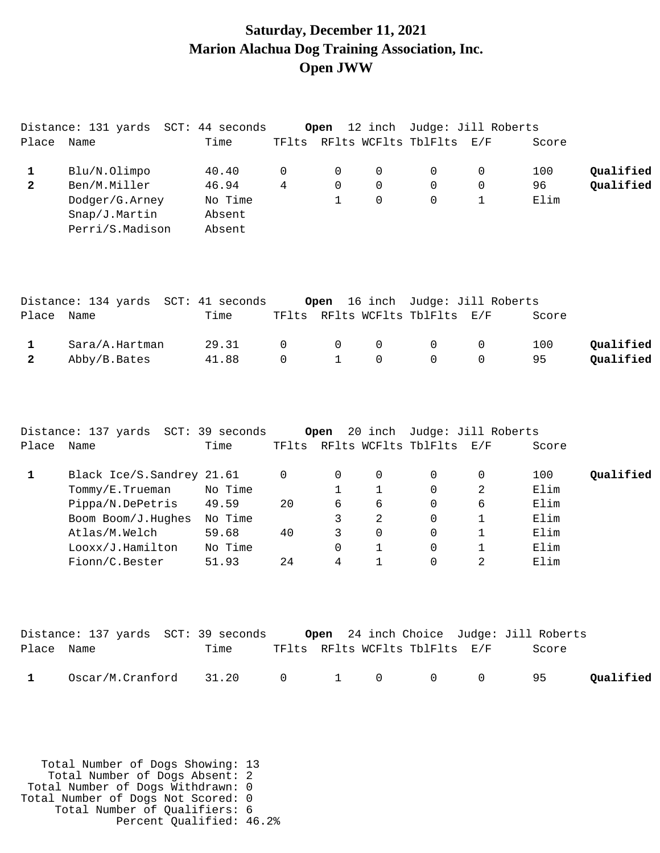## **Saturday, December 11, 2021 Marion Alachua Dog Training Association, Inc. Open JWW**

|              | Distance: 131 yards  SCT: | 44 seconds |       | Open |          | 12 inch Judge: Jill Roberts |       |           |
|--------------|---------------------------|------------|-------|------|----------|-----------------------------|-------|-----------|
| Place        | Name                      | Time       | TFlts |      |          | RFlts WCFlts TblFlts E/F    | Score |           |
|              | Blu/N.Olimpo              | 40.40      |       | 0    | $\Omega$ | 0                           | 100   | Qualified |
| $\mathbf{2}$ | Ben/M.Miller              | 46.94      | 4     | 0    | 0        | 0                           | 96    | Qualified |
|              | Dodger/G.Arney            | No Time    |       |      | $\Omega$ | 0                           | Elim  |           |
|              | Snap/J.Martin             | Absent     |       |      |          |                             |       |           |
|              | Perri/S.Madison           | Absent     |       |      |          |                             |       |           |

|            |                | Distance: 134 yards SCT: 41 seconds |  | Open 16 inch Judge: Jill Roberts                |       |           |
|------------|----------------|-------------------------------------|--|-------------------------------------------------|-------|-----------|
| Place Name |                | Time                                |  | TFlts RFlts WCFlts TblFlts E/F                  | Score |           |
|            | Sara/A.Hartman | 29.31                               |  | $\begin{matrix} 0 & 0 & 0 & 0 & 0 \end{matrix}$ | 100   | Oualified |
|            | Abby/B.Bates   | 41.88                               |  | $0 \qquad 1 \qquad 0 \qquad 0 \qquad 0$         | 95    | Qualified |

|       | Distance: 137 yards SCT: 39 seconds |         |       | Open | 20 inch  |                          | Judge: Jill Roberts |       |           |
|-------|-------------------------------------|---------|-------|------|----------|--------------------------|---------------------|-------|-----------|
| Place | Name                                | Time    | TFlts |      |          | RFlts WCFlts TblFlts E/F |                     | Score |           |
|       | Black Ice/S.Sandrey 21.61           |         |       | 0    | 0        | $\Omega$                 | $\Omega$            | 100   | Qualified |
|       | Tommy/E.Trueman                     | No Time |       |      |          | 0                        | 2                   | Elim  |           |
|       | Pippa/N.DePetris                    | 49.59   | 20    | 6    | 6        | 0                        | 6                   | Elim  |           |
|       | Boom Boom/J.Hughes                  | No Time |       |      | 2        | 0                        |                     | Elim  |           |
|       | Atlas/M.Welch                       | 59.68   | 40    | 3    | $\Omega$ | 0                        |                     | Elim  |           |
|       | Looxx/J.Hamilton                    | No Time |       | 0    |          |                          |                     | Elim  |           |
|       | Fionn/C.Bester                      | 51.93   | 24    | 4    |          |                          | $\mathfrak{D}$      | Elim  |           |

|              | Distance: 137 yards SCT: 39 seconds   |      |  |                                | <b>Open</b> 24 inch Choice Judge: Jill Roberts |           |
|--------------|---------------------------------------|------|--|--------------------------------|------------------------------------------------|-----------|
| Place Name   |                                       | Time |  | TFlts RFlts WCFlts TblFlts E/F | Score                                          |           |
| $\mathbf{1}$ | $Oscar/M.Cranford$ 31.20 0 1 0 0 0 95 |      |  |                                |                                                | Qualified |

 Total Number of Dogs Showing: 13 Total Number of Dogs Absent: 2 Total Number of Dogs Withdrawn: 0 Total Number of Dogs Not Scored: 0 Total Number of Qualifiers: 6 Percent Qualified: 46.2%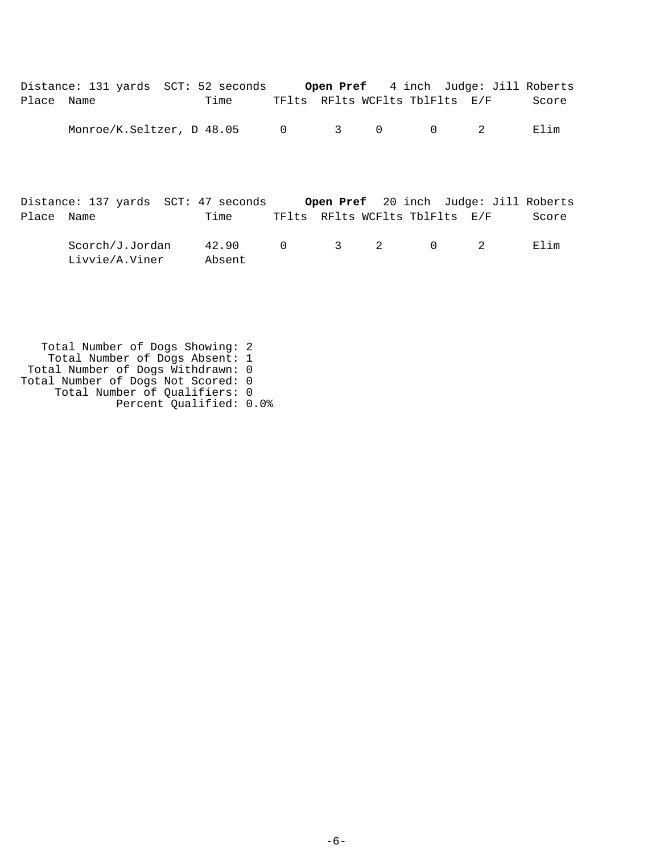|            | Distance: 131 yards SCT: 52 seconds                                       |                 |          |                                |                |                | <b>Open Pref</b> 4 inch Judge: Jill Roberts |       |
|------------|---------------------------------------------------------------------------|-----------------|----------|--------------------------------|----------------|----------------|---------------------------------------------|-------|
| Place Name |                                                                           | Time            |          | TFlts RFlts WCFlts TblFlts E/F |                |                |                                             | Score |
|            | Monroe/K.Seltzer, D 48.05 0                                               |                 |          | $\overline{\mathbf{3}}$        | $\overline{0}$ | $\Omega$       | 2                                           | Elim  |
|            | Distance: 137 yards SCT: 47 seconds Open Pref 20 inch Judge: Jill Roberts |                 |          |                                |                |                |                                             |       |
| Place Name |                                                                           | Time            |          | TFlts RFlts WCFlts TblFlts E/F |                |                |                                             | Score |
|            | Scorch/J.Jordan<br>Livvie/A.Viner                                         | 42.90<br>Absent | $\Omega$ | $3 \t 2$                       |                | $\overline{0}$ | -2                                          | Elim  |

 Total Number of Dogs Showing: 2 Total Number of Dogs Absent: 1 Total Number of Dogs Withdrawn: 0 Total Number of Dogs Not Scored: 0 Total Number of Qualifiers: 0 Percent Qualified: 0.0%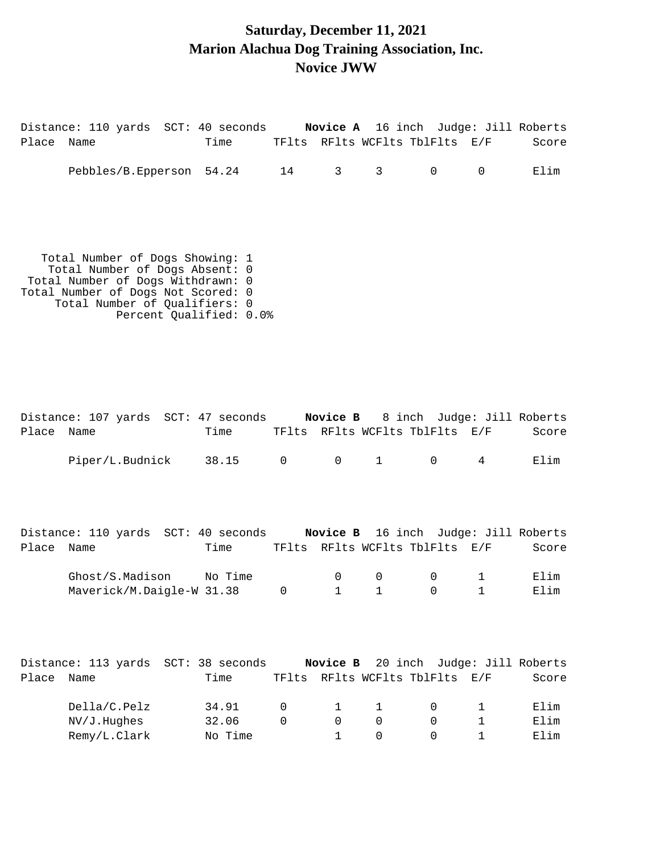# **Saturday, December 11, 2021 Marion Alachua Dog Training Association, Inc. Novice JWW**

| Name | Time    |                                                                                                                                                                                                                     |                                                                                                                                                   |              |                          |                  | Score                                                                                                                                                                                                                                                                                    |
|------|---------|---------------------------------------------------------------------------------------------------------------------------------------------------------------------------------------------------------------------|---------------------------------------------------------------------------------------------------------------------------------------------------|--------------|--------------------------|------------------|------------------------------------------------------------------------------------------------------------------------------------------------------------------------------------------------------------------------------------------------------------------------------------------|
|      |         |                                                                                                                                                                                                                     | 3 <sup>7</sup>                                                                                                                                    | $\mathsf{3}$ | $\mathsf{O}$             | 0                | Elim                                                                                                                                                                                                                                                                                     |
|      |         |                                                                                                                                                                                                                     |                                                                                                                                                   |              |                          |                  |                                                                                                                                                                                                                                                                                          |
| Name | Time    |                                                                                                                                                                                                                     |                                                                                                                                                   |              |                          |                  | Score                                                                                                                                                                                                                                                                                    |
|      | 38.15   |                                                                                                                                                                                                                     | $\overline{0}$                                                                                                                                    | $\mathbf{1}$ | $\overline{0}$           | $4\overline{ }$  | Elim                                                                                                                                                                                                                                                                                     |
| Name | No Time | $\mathbf 0$                                                                                                                                                                                                         | $\mathbf 0$<br>$\mathbf{1}$                                                                                                                       | 0<br>1       | $\mathbf{0}$<br>$\Omega$ | 1<br>$\mathbf 1$ | Score<br>Elim<br>Elim                                                                                                                                                                                                                                                                    |
|      | Place   | Total Number of Dogs Showing: 1<br>Total Number of Dogs Absent: 0<br>Total Number of Dogs Withdrawn: 0<br>Total Number of Dogs Not Scored: 0<br>Total Number of Qualifiers: 0<br>Piper/L.Budnick<br>Ghost/S.Madison | Pebbles/B.Epperson 54.24<br>Percent Qualified: 0.0%<br>Distance: 107 yards SCT: 47 seconds<br>$\overline{0}$<br>Time<br>Maverick/M.Daigle-W 31.38 | 14 \,        | Novice B                 |                  | Distance: 110 yards SCT: 40 seconds Novice A 16 inch Judge: Jill Roberts<br>TFlts RFlts WCFlts TblFlts E/F<br>8 inch Judge: Jill Roberts<br>TFlts RFlts WCFlts TblFlts E/F<br>Distance: 110 yards SCT: 40 seconds Novice B 16 inch Judge: Jill Roberts<br>TFlts RFlts WCFlts TblFlts E/F |

|       | Distance: 113 yards SCT: 38 seconds |         |           |          |          |                                | Novice B 20 inch Judge: Jill Roberts |       |
|-------|-------------------------------------|---------|-----------|----------|----------|--------------------------------|--------------------------------------|-------|
| Place | Name                                | Time    |           |          |          | TFlts RFlts WCFlts TblFlts E/F |                                      | Score |
|       |                                     |         |           |          |          |                                |                                      |       |
|       | Della/C.Pelz                        | 34.91   | $\bigcap$ | $\sim$ 1 | $\sim$ 1 |                                |                                      | Elim  |
|       | $NV/J$ . Hughes                     | 32.06   |           | $\Omega$ | $\cap$   |                                |                                      | Elim  |
|       | Remy/L.Clark                        | No Time |           |          |          |                                |                                      | Elim  |
|       |                                     |         |           |          |          |                                |                                      |       |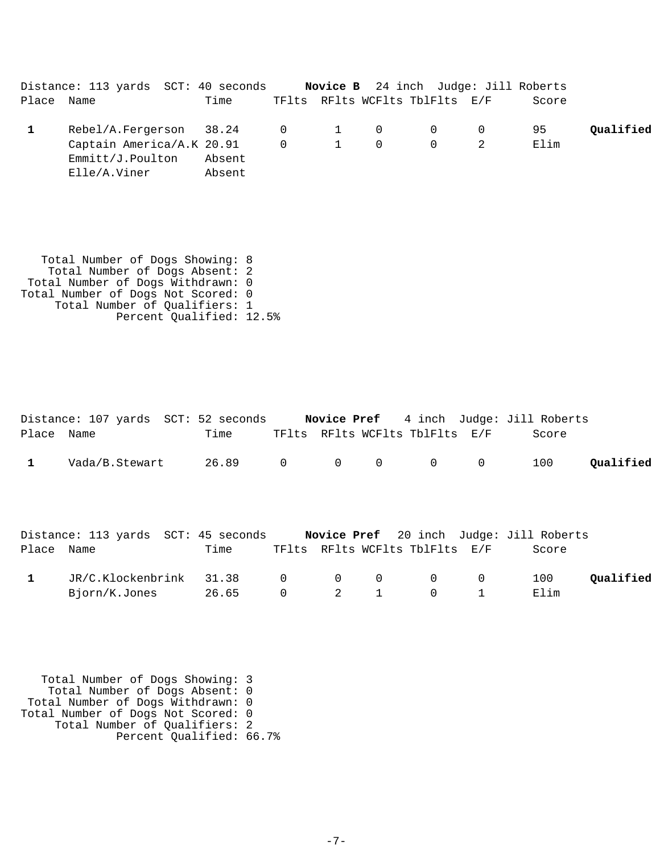Distance: 113 yards SCT: 40 seconds **Novice B** 24 inch Judge: Jill Roberts Place Name Time TFlts RFlts WCFlts TblFlts E/F Score Rebel/A.Fergerson 38.24 0 1 0 0 0 95 **1 Qualified** Captain America/A.K 20.91 0 1 0 0 0 2 Elim Emmitt/J.Poulton Absent Elle/A.Viner Absent

 Total Number of Dogs Showing: 8 Total Number of Dogs Absent: 2 Total Number of Dogs Withdrawn: 0 Total Number of Dogs Not Scored: 0 Total Number of Qualifiers: 1 Percent Qualified: 12.5%

|            | Distance: 107 yards SCT: 52 seconds Novice Pref 4 inch Judge: Jill Roberts |       |                     |                |             |                                |                |                                                |           |
|------------|----------------------------------------------------------------------------|-------|---------------------|----------------|-------------|--------------------------------|----------------|------------------------------------------------|-----------|
| Place Name |                                                                            | Time  |                     |                |             | TFlts RFlts WCFlts TblFlts E/F |                | Score                                          |           |
|            | Vada/B.Stewart                                                             | 26.89 | $\overline{0}$      | $\overline{0}$ | $\mathbf 0$ | $\overline{0}$                 | $\overline{0}$ | 100                                            | Oualified |
|            | Distance: 113 yards SCT: 45 seconds                                        |       |                     |                |             |                                |                | <b>Novice Pref</b> 20 inch Judge: Jill Roberts |           |
| Place Name |                                                                            | Time  |                     |                |             | TFlts RFlts WCFlts TblFlts E/F |                | Score                                          |           |
|            | JR/C.Klockenbrink 31.38                                                    |       | $\overline{0}$      | $\overline{0}$ | 0           | $\overline{0}$                 | $\mathbf 0$    | 100                                            | Qualified |
|            | Bjorn/K.Jones                                                              | 26.65 | $\mathsf{O}\xspace$ | 2              |             | 0                              |                | Elim                                           |           |

 Total Number of Dogs Showing: 3 Total Number of Dogs Absent: 0 Total Number of Dogs Withdrawn: 0 Total Number of Dogs Not Scored: 0 Total Number of Qualifiers: 2 Percent Qualified: 66.7%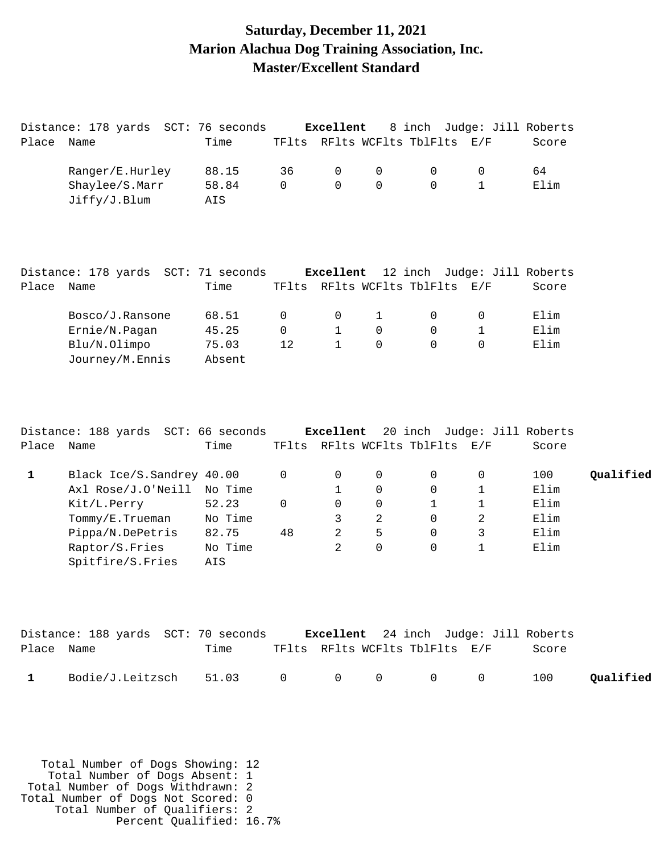#### **Saturday, December 11, 2021 Marion Alachua Dog Training Association, Inc. Master/Excellent Standard**

|             | Distance: 178 yards SCT: 76 seconds                                       |         |          | Excellent    |              | 8 inch Judge: Jill Roberts     |              |       |           |
|-------------|---------------------------------------------------------------------------|---------|----------|--------------|--------------|--------------------------------|--------------|-------|-----------|
| Place       | Name                                                                      | Time    |          |              |              | TFlts RFlts WCFlts TblFlts     | E/F          | Score |           |
|             | Ranger/E.Hurley                                                           | 88.15   | 36       | 0            | 0            | $\mathbf 0$                    | 0            | 64    |           |
|             | Shaylee/S.Marr                                                            | 58.84   | $\Omega$ | $\Omega$     | $\Omega$     | $\Omega$                       | $\mathbf{1}$ | Elim  |           |
|             | Jiffy/J.Blum                                                              | AIS     |          |              |              |                                |              |       |           |
|             | Distance: 178 yards SCT: 71 seconds Excellent 12 inch Judge: Jill Roberts |         |          |              |              |                                |              |       |           |
| Place Name  |                                                                           | Time    |          |              |              | TFlts RFlts WCFlts TblFlts E/F |              | Score |           |
|             | Bosco/J.Ransone                                                           | 68.51   | 0        | 0            | $\mathbf{1}$ | $\overline{0}$                 | 0            | Elim  |           |
|             | Ernie/N.Pagan                                                             | 45.25   | $\Omega$ | $\mathbf{1}$ | $\mathbf 0$  | $\Omega$                       | $\mathbf{1}$ | Elim  |           |
|             | Blu/N.Olimpo                                                              | 75.03   | 12       | $\mathbf{1}$ | $\Omega$     | $\Omega$                       | $\Omega$     | Elim  |           |
|             | Journey/M.Ennis                                                           | Absent  |          |              |              |                                |              |       |           |
|             | Distance: 188 yards SCT: 66 seconds Excellent                             |         |          |              |              | 20 inch Judge: Jill Roberts    |              |       |           |
| Place       | Name                                                                      | Time    |          |              |              | TFlts RFlts WCFlts TblFlts E/F |              | Score |           |
| $\mathbf 1$ | Black Ice/S. Sandrey 40.00                                                |         | 0        | 0            | 0            | $\mathbf 0$                    | 0            | 100   | Qualified |
|             | Axl Rose/J.O'Neill                                                        | No Time |          | 1            | 0            | $\mathbf 0$                    | $\mathbf{1}$ | Elim  |           |
|             | Kit/L.Perry                                                               | 52.23   | $\Omega$ | $\Omega$     | 0            | $\mathbf{1}$                   | 1            | Elim  |           |
|             | Tommy/E.Trueman                                                           | No Time |          | 3            | 2            | $\Omega$                       | 2            | Elim  |           |

|              | Distance: 188 yards SCT: 70 seconds |      |  | <b>Excellent</b> 24 inch Judge: Jill Roberts |       |           |
|--------------|-------------------------------------|------|--|----------------------------------------------|-------|-----------|
| Place Name   |                                     | Time |  | TFlts RFlts WCFlts TblFlts E/F               | Score |           |
| $\mathbf{1}$ | $Bodie/J.Leitzsch$ 51.03 0 0 0 0 0  |      |  |                                              | 100   | Qualified |

Pippa/N.DePetris 82.75 48 2 5 0 3 Elim Raptor/S.Fries No Time 2 0 0 1 Elim

 Total Number of Dogs Showing: 12 Total Number of Dogs Absent: 1 Total Number of Dogs Withdrawn: 2 Total Number of Dogs Not Scored: 0 Total Number of Qualifiers: 2 Percent Qualified: 16.7%

Spitfire/S.Fries AIS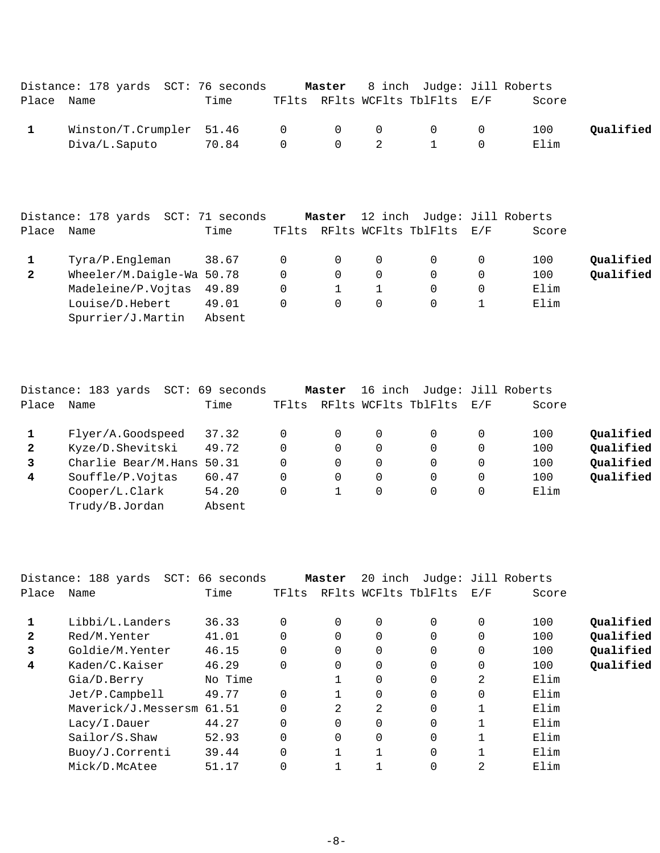|            | Distance: 178 yards SCT: 76 seconds                  |       |                       |                                              | <b>Master</b> 8 inch Judge: Jill Roberts |             |           |
|------------|------------------------------------------------------|-------|-----------------------|----------------------------------------------|------------------------------------------|-------------|-----------|
| Place Name |                                                      | Time  |                       |                                              | TFlts RFlts WCFlts TblFlts E/F           | Score       |           |
|            | Winstein/T.Crumpler 51.46 0 0 0 0 0<br>Diva/L.Saputo | 70.84 | $\Omega$ and $\Omega$ | $\begin{array}{ccc} & & 0 & & 2 \end{array}$ |                                          | 100<br>Elim | Oualified |

|              | Distance: 178 yards SCT: 71 seconds |        |        | Master         |          | 12 inch Judge: Jill Roberts |          |       |           |
|--------------|-------------------------------------|--------|--------|----------------|----------|-----------------------------|----------|-------|-----------|
| Place        | Name                                | Time   | TFlts  |                |          | RFlts WCFlts TblFlts E/F    |          | Score |           |
|              | Tyra/P.Engleman                     | 38.67  | $\cup$ | $\overline{0}$ | 0        |                             | 0        | 100   | Oualified |
| $\mathbf{2}$ | Wheeler/M.Daigle-Wa 50.78           |        | 0      | $\Omega$       | $\Omega$ |                             | $\Omega$ | 100   | Qualified |
|              | Madeleine/P.Vojtas 49.89            |        | 0      |                |          |                             | $\Omega$ | Elim  |           |
|              | Louise/D.Hebert                     | 49.01  | 0      | $\Omega$       | $\Omega$ |                             |          | Elim  |           |
|              | Spurrier/J.Martin                   | Absent |        |                |          |                             |          |       |           |

|                | Distance: 183 yards<br>SCT: | 69 seconds |          | Master   |   | 16 inch Judge: Jill Roberts |     |       |           |
|----------------|-----------------------------|------------|----------|----------|---|-----------------------------|-----|-------|-----------|
| Place          | Name                        | Time       | TFlts    |          |   | RFlts WCFlts TblFlts        | E/F | Score |           |
|                | Flyer/A.Goodspeed           | 37.32      | 0        | 0        | 0 | 0                           | 0   | 100   | Oualified |
| $\mathbf{2}$   | Kyze/D.Shevitski            | 49.72      | 0        | $\Omega$ |   | $\Omega$                    | 0   | 100   | Qualified |
| $\mathbf{3}$   | Charlie Bear/M.Hans         | 50.31      | 0        | $\Omega$ |   | $\Omega$                    | 0   | 100   | Qualified |
| $\overline{4}$ | Souffle/P.Vojtas            | 60.47      | $\Omega$ | $\Omega$ |   | $\Omega$                    | 0   | 100   | Qualified |
|                | Cooper/L.Clark              | 54.20      | 0        |          | 0 | 0                           | 0   | Elim  |           |
|                | Trudy/B.Jordan              | Absent     |          |          |   |                             |     |       |           |
|                |                             |            |          |          |   |                             |     |       |           |

|                | Distance: 188 yards SCT: 66 seconds |         |             | Master   |          |                      | 20 inch Judge: Jill Roberts |       |           |
|----------------|-------------------------------------|---------|-------------|----------|----------|----------------------|-----------------------------|-------|-----------|
| Place          | Name                                | Time    | TFlts       |          |          | RFlts WCFlts TblFlts | E/F                         | Score |           |
|                |                                     |         |             |          |          |                      |                             |       |           |
|                | Libbi/L.Landers                     | 36.33   | $\Omega$    | $\Omega$ | $\Omega$ | $\Omega$             | 0                           | 100   | Qualified |
| $\mathbf{2}$   | Red/M.Yenter                        | 41.01   | $\Omega$    | 0        | 0        | $\Omega$             | 0                           | 100   | Qualified |
| 3              | Goldie/M.Yenter                     | 46.15   | $\mathbf 0$ | 0        | 0        | 0                    | 0                           | 100   | Qualified |
| $\overline{4}$ | Kaden/C.Kaiser                      | 46.29   | $\Omega$    | 0        | 0        | $\Omega$             | 0                           | 100   | Qualified |
|                | Gia/D.Berry                         | No Time |             |          | 0        | $\Omega$             | 2                           | Elim  |           |
|                | Jet/P.Campbell                      | 49.77   | $\Omega$    |          | 0        | 0                    | 0                           | Elim  |           |
|                | Maverick/J.Messersm 61.51           |         | $\Omega$    | 2        | 2        | $\Omega$             |                             | Elim  |           |
|                | Lacy/I.Dauer                        | 44.27   | $\mathbf 0$ | 0        | 0        | $\Omega$             |                             | Elim  |           |
|                | Sailor/S.Shaw                       | 52.93   | $\Omega$    | 0        | 0        | 0                    |                             | Elim  |           |
|                | Buoy/J.Correnti                     | 39.44   | $\Omega$    |          |          | $\Omega$             |                             | Elim  |           |
|                | Mick/D.McAtee                       | 51.17   | $\Omega$    |          |          | 0                    | 2                           | Elim  |           |
|                |                                     |         |             |          |          |                      |                             |       |           |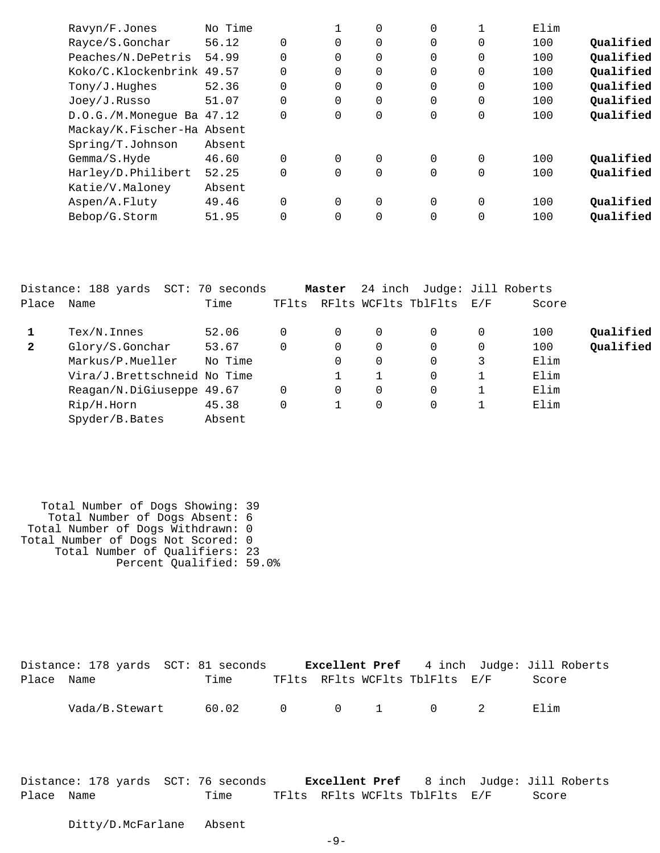| Ravyn/F.Jones              | No Time |             |          | 0           | $\Omega$       |          | Elim |           |
|----------------------------|---------|-------------|----------|-------------|----------------|----------|------|-----------|
| Rayce/S.Gonchar            | 56.12   | $\mathbf 0$ | 0        | 0           | $\overline{0}$ | 0        | 100  | Qualified |
| Peaches/N.DePetris         | 54.99   | 0           | $\Omega$ | $\mathbf 0$ | 0              | 0        | 100  | Qualified |
| Koko/C.Klockenbrink 49.57  |         | $\Omega$    | $\Omega$ | 0           | 0              | 0        | 100  | Qualified |
| Tony/J.Hughes              | 52.36   | $\mathbf 0$ | 0        | 0           | 0              | 0        | 100  | Qualified |
| Joey/J.Russo               | 51.07   | $\Omega$    | $\Omega$ | $\mathbf 0$ | $\Omega$       | $\Omega$ | 100  | Qualified |
| D.O.G./M.Monegue Ba 47.12  |         | 0           | $\Omega$ | 0           | $\overline{0}$ | 0        | 100  | Qualified |
| Mackay/K.Fischer-Ha Absent |         |             |          |             |                |          |      |           |
| Spring/T.Johnson           | Absent  |             |          |             |                |          |      |           |
| Gemma/S.Hyde               | 46.60   | $\Omega$    | $\Omega$ | $\Omega$    | $\Omega$       | $\Omega$ | 100  | Qualified |
| Harley/D.Philibert         | 52.25   | $\Omega$    | $\Omega$ | 0           | 0              | 0        | 100  | Qualified |
| Katie/V.Maloney            | Absent  |             |          |             |                |          |      |           |
| Aspen/A.Fluty              | 49.46   | $\Omega$    | $\Omega$ | 0           | $\Omega$       | $\Omega$ | 100  | Qualified |
| Bebop/G.Storm              | 51.95   | $\Omega$    | $\Omega$ | 0           | 0              | 0        | 100  | Qualified |
|                            |         |             |          |             |                |          |      |           |

|              | Distance: 188 yards SCT: 70 seconds |         |       | Master   |   | 24 inch Judge: Jill Roberts |   |       |           |
|--------------|-------------------------------------|---------|-------|----------|---|-----------------------------|---|-------|-----------|
| Place        | Name                                | Time    | TFlts |          |   | RFlts WCFlts TblFlts E/F    |   | Score |           |
|              | $Text/N$ . Innes                    | 52.06   | 0     | $\Omega$ | 0 |                             |   | 100   | Qualified |
| $\mathbf{2}$ | Glory/S.Gonchar                     | 53.67   | 0     | 0        | 0 |                             |   | 100   | Qualified |
|              | Markus/P.Mueller                    | No Time |       | 0        | 0 |                             | 3 | Elim  |           |
|              | Vira/J.Brettschneid No Time         |         |       |          |   |                             |   | Elim  |           |
|              | Reagan/N.DiGiuseppe 49.67           |         | 0     | 0        | 0 |                             |   | Elim  |           |
|              | Rip/H.Horn                          | 45.38   | 0     |          | 0 |                             |   | Elim  |           |
|              | Spyder/B.Bates                      | Absent  |       |          |   |                             |   |       |           |

 Total Number of Dogs Showing: 39 Total Number of Dogs Absent: 6 Total Number of Dogs Withdrawn: 0 Total Number of Dogs Not Scored: 0 Total Number of Qualifiers: 23 Percent Qualified: 59.0%

|            | Distance: 178 yards SCT: 81 seconds |                 |  |                                | <b>Excellent Pref</b> 4 inch Judge: Jill Roberts |
|------------|-------------------------------------|-----------------|--|--------------------------------|--------------------------------------------------|
| Place Name |                                     | Time            |  | TFlts RFlts WCFlts TblFlts E/F | Score                                            |
|            | Vada/B.Stewart                      | 60.02 0 0 1 0 2 |  |                                | Flim                                             |

Distance: 178 yards SCT: 76 seconds **Excellent Pref** 8 inch Judge: Jill Roberts Place Name Time TFlts RFlts WCFlts TblFlts E/F Score

Ditty/D.McFarlane Absent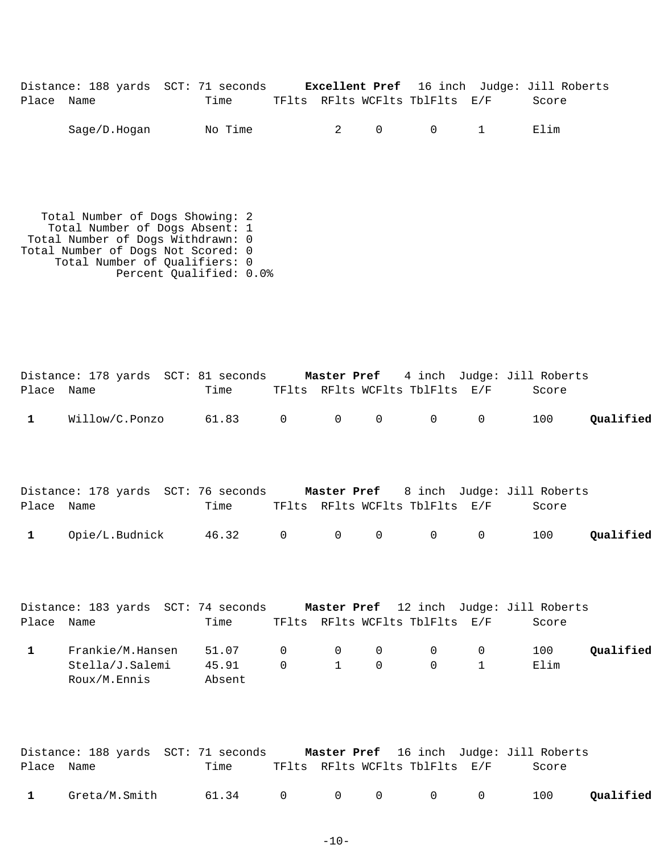|            |              | Distance: 188 yards SCT: 71 seconds |                                |                          |                                              | <b>Excellent Pref</b> 16 inch Judge: Jill Roberts |
|------------|--------------|-------------------------------------|--------------------------------|--------------------------|----------------------------------------------|---------------------------------------------------|
| Place Name |              | Time                                | TFlts RFlts WCFlts TblFlts E/F |                          |                                              | Score                                             |
|            | Sage/D.Hogan | No Time                             |                                | $2 \qquad \qquad \Omega$ | $\begin{array}{ccc} & & 0 & & 1 \end{array}$ | Elim                                              |

 Total Number of Dogs Showing: 2 Total Number of Dogs Absent: 1 Total Number of Dogs Withdrawn: 0 Total Number of Dogs Not Scored: 0 Total Number of Qualifiers: 0 Percent Qualified: 0.0%

| Place Name   | Distance: 178 yards SCT: 81 seconds Master Pref 4 inch Judge: Jill Roberts  | Time                     |                            |                                |                          | TFlts RFlts WCFlts TblFlts E/F |                             | Score       |           |
|--------------|-----------------------------------------------------------------------------|--------------------------|----------------------------|--------------------------------|--------------------------|--------------------------------|-----------------------------|-------------|-----------|
| $\mathbf{1}$ | Willow/C.Ponzo 61.83 0                                                      |                          |                            | $\overline{0}$                 | $\mathbf 0$              | $0 \qquad \qquad$              | $0 \qquad \qquad$           | 100         | Qualified |
|              | Distance: 178 yards SCT: 76 seconds Master Pref 8 inch Judge: Jill Roberts  |                          |                            |                                |                          |                                |                             |             |           |
| Place Name   |                                                                             | Time                     |                            |                                |                          | TFlts RFlts WCFlts TblFlts E/F |                             | Score       |           |
| $\mathbf{1}$ | Opie/L.Budnick 46.32 0                                                      |                          |                            | 0                              | $\mathbf 0$              | $0 \qquad \qquad$              | $\overline{0}$              | 100         | Qualified |
|              | Distance: 183 yards SCT: 74 seconds Master Pref 12 inch Judge: Jill Roberts |                          |                            |                                |                          |                                |                             |             |           |
| Place Name   |                                                                             | Time                     |                            |                                |                          | TFlts RFlts WCFlts TblFlts E/F |                             | Score       |           |
| $\mathbf{1}$ | Frankie/M.Hansen<br>Stella/J.Salemi<br>Roux/M.Ennis                         | 51.07<br>45.91<br>Absent | $\overline{0}$<br>$\Omega$ | $\overline{0}$<br>$\mathbf{1}$ | $\mathsf{O}$<br>$\Omega$ | $\overline{0}$<br>$\Omega$     | $\mathbf 0$<br>$\mathbf{1}$ | 100<br>Elim | Qualified |
|              | Distance: 188 yards SCT: 71 seconds Master Pref 16 inch Judge: Jill Roberts |                          |                            |                                |                          |                                |                             |             |           |

| Place Name |                                                 | Time |  | TFlts RFlts WCFlts TblFlts E/F | Score |  |
|------------|-------------------------------------------------|------|--|--------------------------------|-------|--|
|            | Greta/M.Smith $61.34$ 0 0 0 0 0 100 $Qualified$ |      |  |                                |       |  |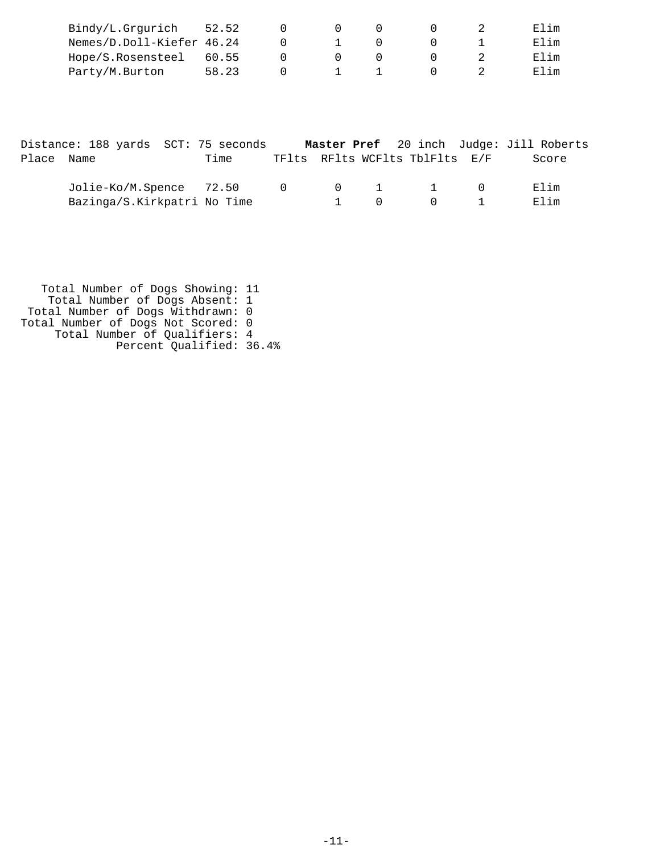| Bindy/L.Grgurich          | 52.52 |  |  | Elim   |
|---------------------------|-------|--|--|--------|
| Nemes/D.Doll-Kiefer 46.24 |       |  |  | F. lim |
| Hope/S.Rosensteel 60.55   |       |  |  | Elim   |
| Party/M.Burton            | 58.23 |  |  | Flim   |

|            | Distance: 188 yards SCT: 75 seconds |      |              |          |                                                  |           | Master Pref 20 inch Judge: Jill Roberts |
|------------|-------------------------------------|------|--------------|----------|--------------------------------------------------|-----------|-----------------------------------------|
| Place Name |                                     | Time |              |          | TFlts RFlts WCFlts TblFlts E/F                   |           | Score                                   |
|            | Jolie-Ko/M.Spence 72.50 0           |      |              |          | $\begin{array}{ccccccc}\n0 & 1 & 1\n\end{array}$ | $\bigcap$ | Elim                                    |
|            | Bazinga/S.Kirkpatri No Time         |      | The Contract | $\Omega$ |                                                  | $0$ 1     | Elim                                    |

 Total Number of Dogs Showing: 11 Total Number of Dogs Absent: 1 Total Number of Dogs Withdrawn: 0 Total Number of Dogs Not Scored: 0 Total Number of Qualifiers: 4 Percent Qualified: 36.4%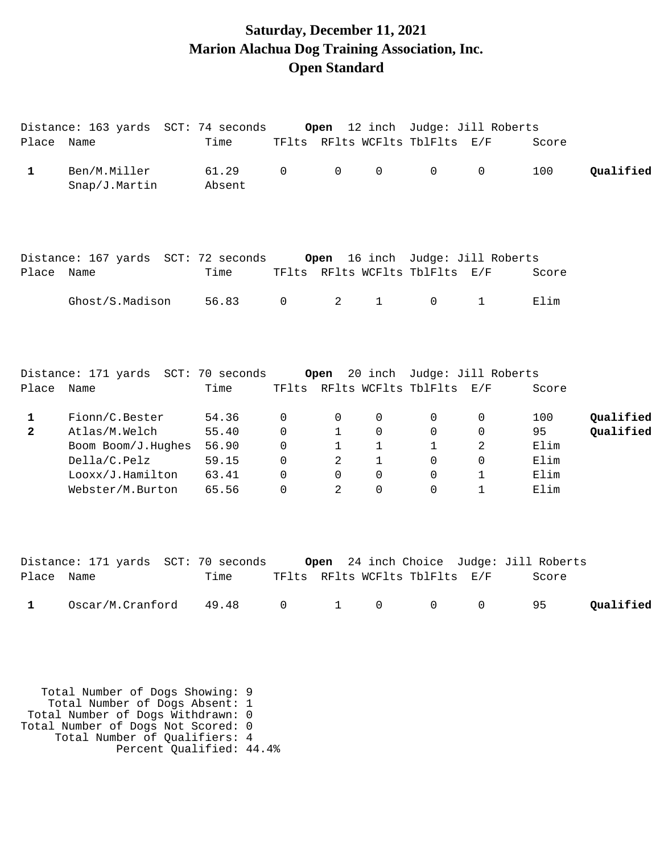# **Saturday, December 11, 2021 Marion Alachua Dog Training Association, Inc. Open Standard**

|                     | Distance: 163 yards SCT: 74 seconds                                                                           |                                                    |                                                                               | Open                                                    |                                                                                    |                                                                | 12 inch Judge: Jill Roberts                                            |                                             |                        |
|---------------------|---------------------------------------------------------------------------------------------------------------|----------------------------------------------------|-------------------------------------------------------------------------------|---------------------------------------------------------|------------------------------------------------------------------------------------|----------------------------------------------------------------|------------------------------------------------------------------------|---------------------------------------------|------------------------|
| Place Name          |                                                                                                               | Time                                               |                                                                               |                                                         |                                                                                    | TFlts RFlts WCFlts TblFlts E/F                                 |                                                                        | Score                                       |                        |
| $\mathbf{1}$        | Ben/M.Miller<br>Snap/J.Martin                                                                                 | 61.29<br>Absent                                    | $\mathbf 0$                                                                   | $\mathsf{O}$                                            | $\mathbf 0$                                                                        | $\mathsf{O}$                                                   | $\mathbf 0$                                                            | 100                                         | Qualified              |
| Place Name          | Distance: 167 yards SCT: 72 seconds                                                                           | Time                                               |                                                                               |                                                         |                                                                                    | TFlts RFlts WCFlts TblFlts E/F                                 | Open 16 inch Judge: Jill Roberts                                       | Score                                       |                        |
|                     | Ghost/S.Madison                                                                                               | 56.83                                              | $\overline{0}$                                                                | $\overline{2}$                                          | $\mathbf{1}$                                                                       | $\mathsf{O}$                                                   | $\mathbf 1$                                                            | Elim                                        |                        |
| Place Name          | Distance: 171 yards SCT: 70 seconds                                                                           | Time                                               |                                                                               | Open                                                    |                                                                                    | TFlts RFlts WCFlts TblFlts E/F                                 | 20 inch Judge: Jill Roberts                                            | Score                                       |                        |
| 1<br>$\overline{2}$ | Fionn/C.Bester<br>Atlas/M.Welch<br>Boom Boom/J.Hughes<br>Della/C.Pelz<br>Looxx/J.Hamilton<br>Webster/M.Burton | 54.36<br>55.40<br>56.90<br>59.15<br>63.41<br>65.56 | $\mathbf 0$<br>$\mathbf 0$<br>$\mathbf 0$<br>$\Omega$<br>$\Omega$<br>$\Omega$ | 0<br>$\mathbf{1}$<br>$\mathbf{1}$<br>2<br>$\Omega$<br>2 | $\mathbf 0$<br>$\mathbf 0$<br>$\mathbf{1}$<br>$\mathbf{1}$<br>$\Omega$<br>$\Omega$ | $\Omega$<br>0<br>$\mathbf{1}$<br>$\mathsf{O}$<br>0<br>$\Omega$ | 0<br>$\mathbf 0$<br>$\overline{2}$<br>$\mathbf 0$<br>1<br>$\mathbf{1}$ | 100<br>95<br>Elim<br>Elim<br>Elim<br>Elim   | Qualified<br>Qualified |
| Place Name          | Distance: 171 yards SCT: 70 seconds                                                                           | Time                                               |                                                                               | Open                                                    |                                                                                    | TFlts RFlts WCFlts TblFlts E/F                                 |                                                                        | 24 inch Choice Judge: Jill Roberts<br>Score |                        |
| 1                   | Oscar/M.Cranford                                                                                              | 49.48                                              | $\mathbf 0$                                                                   | $\mathbf 1$                                             | 0                                                                                  | $\mathbf 0$                                                    | 0                                                                      | 95                                          | Qualified              |

 Total Number of Dogs Showing: 9 Total Number of Dogs Absent: 1 Total Number of Dogs Withdrawn: 0 Total Number of Dogs Not Scored: 0 Total Number of Qualifiers: 4 Percent Qualified: 44.4%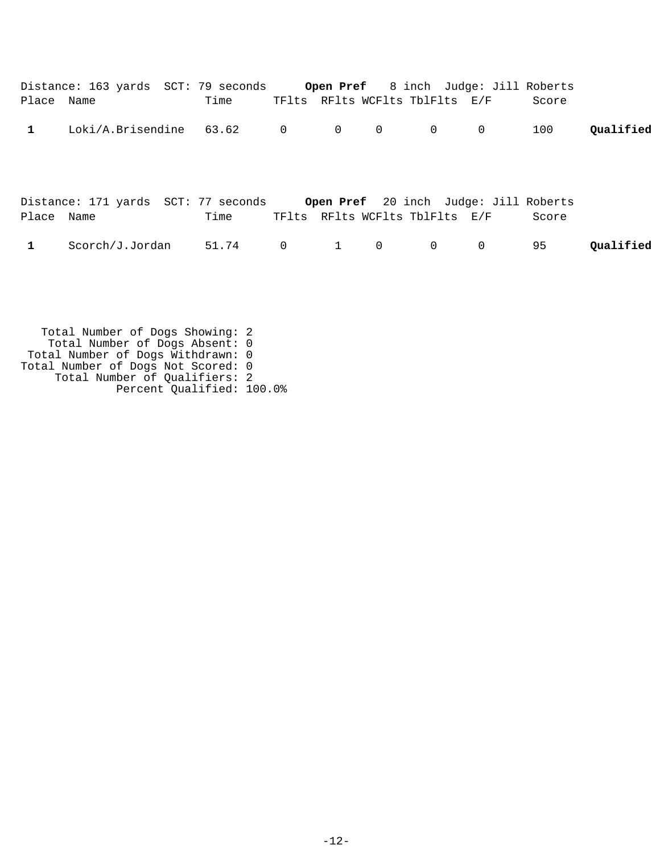| Place Name   | Distance: 163 yards SCT: 79 seconds Open Pref 8 inch Judge: Jill Roberts  | Time  |                |                   |              | TFlts RFlts WCFlts TblFlts E/F |             | Score |           |
|--------------|---------------------------------------------------------------------------|-------|----------------|-------------------|--------------|--------------------------------|-------------|-------|-----------|
| $\mathbf{1}$ | Loki/A.Brisendine 63.62 0                                                 |       |                | $\overline{O}$    | $\mathbf 0$  | $\overline{0}$                 | $\mathbf 0$ | 100   | Qualified |
| Place Name   | Distance: 171 yards SCT: 77 seconds Open Pref 20 inch Judge: Jill Roberts | Time  |                |                   |              | TFlts RFlts WCFlts TblFlts E/F |             | Score |           |
| $\mathbf{1}$ | Scorch/J.Jordan                                                           | 51.74 | $\overline{0}$ | $1 \qquad \qquad$ | $\mathsf{O}$ | $0 \qquad \qquad$              | $\mathbf 0$ | 95    | Oualified |
|              |                                                                           |       |                |                   |              |                                |             |       |           |

 Total Number of Dogs Showing: 2 Total Number of Dogs Absent: 0 Total Number of Dogs Withdrawn: 0 Total Number of Dogs Not Scored: 0 Total Number of Qualifiers: 2 Percent Qualified: 100.0%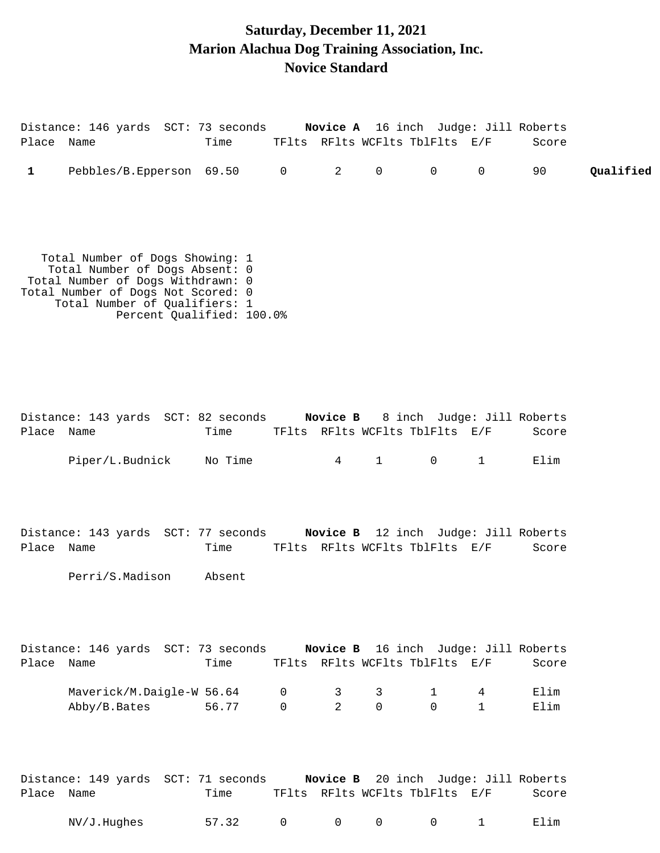## **Saturday, December 11, 2021 Marion Alachua Dog Training Association, Inc. Novice Standard**

| Place Name   | Distance: 146 yards SCT: 73 seconds Novice A 16 inch Judge: Jill Roberts                                                                                                                                   | Time            |                            | TFlts RFlts WCFlts TblFlts E/F           |                  |                          |                                 | Score                                |           |
|--------------|------------------------------------------------------------------------------------------------------------------------------------------------------------------------------------------------------------|-----------------|----------------------------|------------------------------------------|------------------|--------------------------|---------------------------------|--------------------------------------|-----------|
| $\mathbf{1}$ | Pebbles/B.Epperson 69.50 0 2                                                                                                                                                                               |                 |                            |                                          |                  | $0$ 0                    | $0 \qquad \qquad$               | 90                                   | Qualified |
|              | Total Number of Dogs Showing: 1<br>Total Number of Dogs Absent: 0<br>Total Number of Dogs Withdrawn: 0<br>Total Number of Dogs Not Scored: 0<br>Total Number of Qualifiers: 1<br>Percent Qualified: 100.0% |                 |                            |                                          |                  |                          |                                 |                                      |           |
| Place Name   | Distance: 143 yards SCT: 82 seconds Novice B 8 inch Judge: Jill Roberts<br>Piper/L.Budnick                                                                                                                 | Time<br>No Time |                            | TFlts RFlts WCFlts TblFlts E/F           | $4 \quad 1$      | $\mathsf{O}$             | $\mathbf{1}$                    | Score<br>Elim                        |           |
| Place Name   | Distance: 143 yards SCT: 77 seconds Novice B 12 inch Judge: Jill Roberts<br>Perri/S.Madison                                                                                                                | Time<br>Absent  |                            | TFlts RFlts WCFlts TblFlts E/F           |                  |                          |                                 | Score                                |           |
| Place Name   | Distance: 146 yards SCT: 73 seconds Novice B 16 inch Judge: Jill Roberts<br>Maverick/M.Daigle-W 56.64<br>Abby/B.Bates                                                                                      | Time<br>56.77   | $\mathbf 0$<br>$\mathbf 0$ | TFlts RFlts WCFlts TblFlts E/F<br>3<br>2 | 3<br>$\mathbf 0$ | $\mathbf{1}$<br>$\Omega$ | $4\overline{ }$<br>$\mathbf{1}$ | Score<br>Elim<br>Elim                |           |
|              | Distance: 149 yards SCT: 71 seconds                                                                                                                                                                        |                 |                            |                                          |                  |                          |                                 | Novice B 20 inch Judge: Jill Roberts |           |

| Place Name |             | Time  | TFlts RFlts WCFlts TblFlts E/F |  | Score                                   |      |
|------------|-------------|-------|--------------------------------|--|-----------------------------------------|------|
|            | NV/J.Hughes | 57.32 |                                |  | $0 \qquad 0 \qquad 0 \qquad 0 \qquad 1$ | Elim |